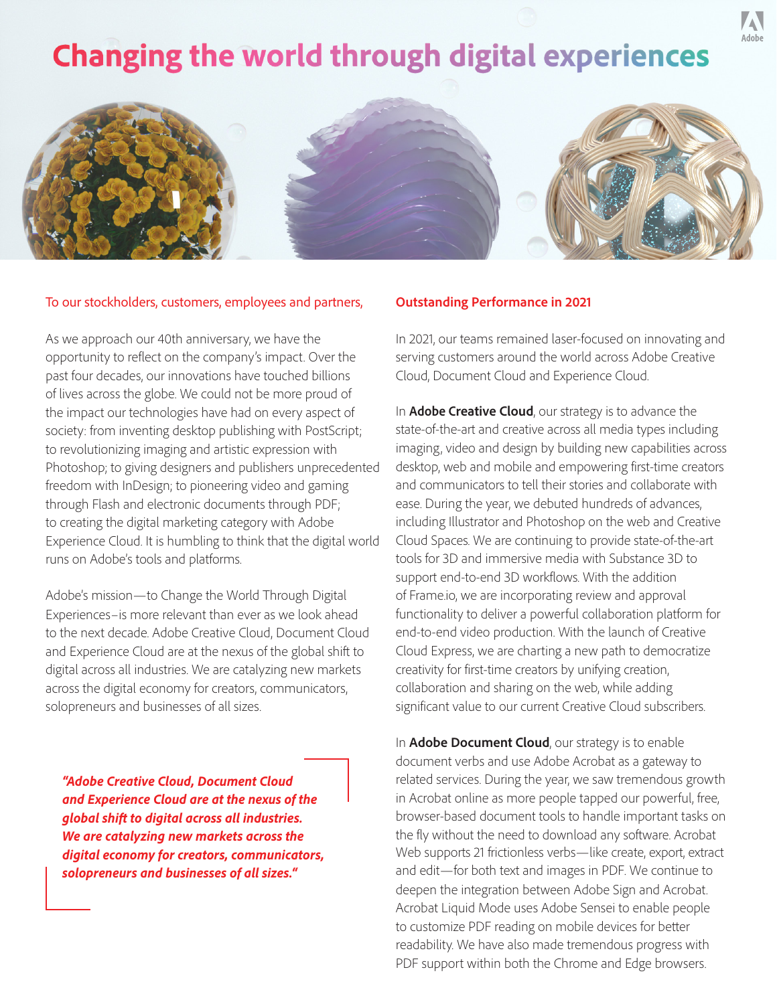# **Changing the world through digital experiences**



#### To our stockholders, customers, employees and partners,

As we approach our 40th anniversary, we have the opportunity to reflect on the company's impact. Over the past four decades, our innovations have touched billions of lives across the globe. We could not be more proud of the impact our technologies have had on every aspect of society: from inventing desktop publishing with PostScript; to revolutionizing imaging and artistic expression with Photoshop; to giving designers and publishers unprecedented freedom with InDesign; to pioneering video and gaming through Flash and electronic documents through PDF; to creating the digital marketing category with Adobe Experience Cloud. It is humbling to think that the digital world runs on Adobe's tools and platforms.

Adobe's mission—to Change the World Through Digital Experiences–is more relevant than ever as we look ahead to the next decade. Adobe Creative Cloud, Document Cloud and Experience Cloud are at the nexus of the global shift to digital across all industries. We are catalyzing new markets across the digital economy for creators, communicators, solopreneurs and businesses of all sizes.

*"Adobe Creative Cloud, Document Cloud and Experience Cloud are at the nexus of the global shift to digital across all industries. We are catalyzing new markets across the digital economy for creators, communicators, solopreneurs and businesses of all sizes."*

#### **Outstanding Performance in 2021**

In 2021, our teams remained laser-focused on innovating and serving customers around the world across Adobe Creative Cloud, Document Cloud and Experience Cloud.

In **Adobe Creative Cloud**, our strategy is to advance the state-of-the-art and creative across all media types including imaging, video and design by building new capabilities across desktop, web and mobile and empowering first-time creators and communicators to tell their stories and collaborate with ease. During the year, we debuted hundreds of advances, including Illustrator and Photoshop on the web and Creative Cloud Spaces. We are continuing to provide state-of-the-art tools for 3D and immersive media with Substance 3D to support end-to-end 3D workflows. With the addition of Frame.io, we are incorporating review and approval functionality to deliver a powerful collaboration platform for end-to-end video production. With the launch of Creative Cloud Express, we are charting a new path to democratize creativity for first-time creators by unifying creation, collaboration and sharing on the web, while adding significant value to our current Creative Cloud subscribers.

In **Adobe Document Cloud**, our strategy is to enable document verbs and use Adobe Acrobat as a gateway to related services. During the year, we saw tremendous growth in Acrobat online as more people tapped our powerful, free, browser-based document tools to handle important tasks on the fly without the need to download any software. Acrobat Web supports 21 frictionless verbs—like create, export, extract and edit—for both text and images in PDF. We continue to deepen the integration between Adobe Sign and Acrobat. Acrobat Liquid Mode uses Adobe Sensei to enable people to customize PDF reading on mobile devices for better readability. We have also made tremendous progress with PDF support within both the Chrome and Edge browsers.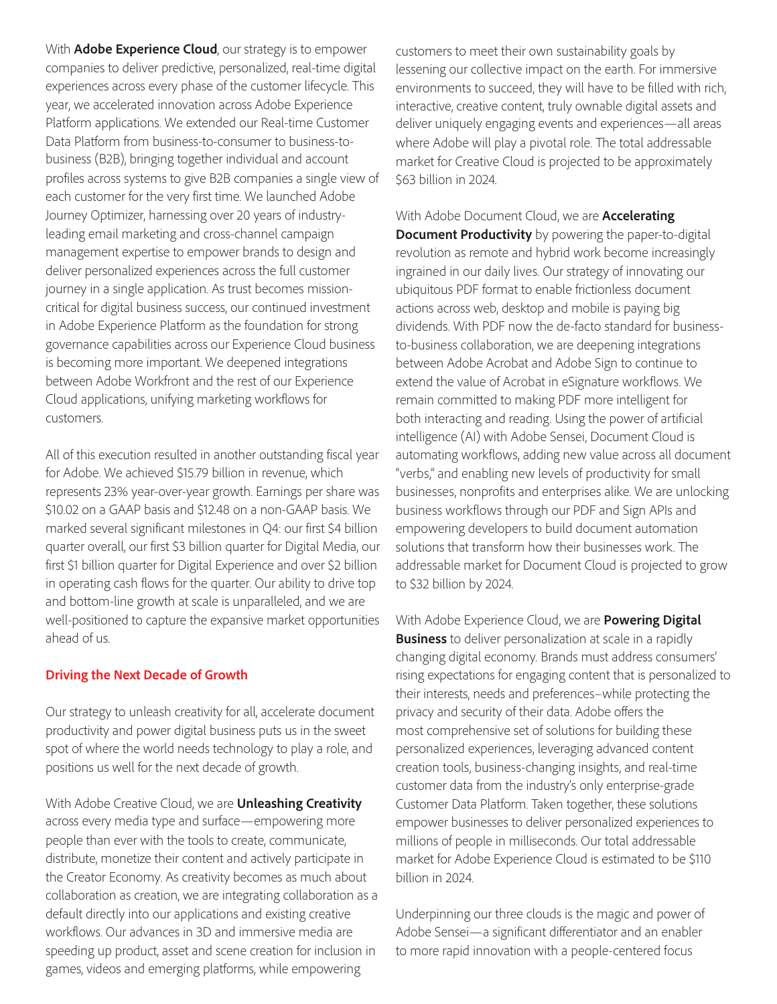With **Adobe Experience Cloud**, our strategy is to empower companies to deliver predictive, personalized, real-time digital experiences across every phase of the customer lifecycle. This year, we accelerated innovation across Adobe Experience Platform applications. We extended our Real-time Customer Data Platform from business-to-consumer to business-tobusiness (B2B), bringing together individual and account profiles across systems to give B2B companies a single view of each customer for the very first time. We launched Adobe Journey Optimizer, harnessing over 20 years of industryleading email marketing and cross-channel campaign management expertise to empower brands to design and deliver personalized experiences across the full customer journey in a single application. As trust becomes missioncritical for digital business success, our continued investment in Adobe Experience Platform as the foundation for strong governance capabilities across our Experience Cloud business is becoming more important. We deepened integrations between Adobe Workfront and the rest of our Experience Cloud applications, unifying marketing workflows for customers.

All of this execution resulted in another outstanding fiscal year for Adobe. We achieved \$15.79 billion in revenue, which represents 23% year-over-year growth. Earnings per share was \$10.02 on a GAAP basis and \$12.48 on a non-GAAP basis. We marked several significant milestones in Q4: our first \$4 billion quarter overall, our first \$3 billion quarter for Digital Media, our first \$1 billion quarter for Digital Experience and over \$2 billion in operating cash flows for the quarter. Our ability to drive top and bottom-line growth at scale is unparalleled, and we are well-positioned to capture the expansive market opportunities ahead of us.

## **Driving the Next Decade of Growth**

Our strategy to unleash creativity for all, accelerate document productivity and power digital business puts us in the sweet spot of where the world needs technology to play a role, and positions us well for the next decade of growth.

With Adobe Creative Cloud, we are **Unleashing Creativity** across every media type and surface—empowering more people than ever with the tools to create, communicate, distribute, monetize their content and actively participate in the Creator Economy. As creativity becomes as much about collaboration as creation, we are integrating collaboration as a default directly into our applications and existing creative workflows. Our advances in 3D and immersive media are speeding up product, asset and scene creation for inclusion in games, videos and emerging platforms, while empowering

customers to meet their own sustainability goals by lessening our collective impact on the earth. For immersive environments to succeed, they will have to be filled with rich, interactive, creative content, truly ownable digital assets and deliver uniquely engaging events and experiences—all areas where Adobe will play a pivotal role. The total addressable market for Creative Cloud is projected to be approximately \$63 billion in 2024.

With Adobe Document Cloud, we are **Accelerating Document Productivity** by powering the paper-to-digital revolution as remote and hybrid work become increasingly ingrained in our daily lives. Our strategy of innovating our ubiquitous PDF format to enable frictionless document actions across web, desktop and mobile is paying big dividends. With PDF now the de-facto standard for businessto-business collaboration, we are deepening integrations between Adobe Acrobat and Adobe Sign to continue to extend the value of Acrobat in eSignature workflows. We remain committed to making PDF more intelligent for both interacting and reading. Using the power of artificial intelligence (AI) with Adobe Sensei, Document Cloud is automating workflows, adding new value across all document "verbs," and enabling new levels of productivity for small businesses, nonprofits and enterprises alike. We are unlocking business workflows through our PDF and Sign APIs and empowering developers to build document automation solutions that transform how their businesses work. The addressable market for Document Cloud is projected to grow to \$32 billion by 2024.

With Adobe Experience Cloud, we are **Powering Digital Business** to deliver personalization at scale in a rapidly changing digital economy. Brands must address consumers' rising expectations for engaging content that is personalized to their interests, needs and preferences–while protecting the privacy and security of their data. Adobe offers the most comprehensive set of solutions for building these personalized experiences, leveraging advanced content creation tools, business-changing insights, and real-time customer data from the industry's only enterprise-grade Customer Data Platform. Taken together, these solutions empower businesses to deliver personalized experiences to millions of people in milliseconds. Our total addressable market for Adobe Experience Cloud is estimated to be \$110 billion in 2024.

Underpinning our three clouds is the magic and power of Adobe Sensei—a significant differentiator and an enabler to more rapid innovation with a people-centered focus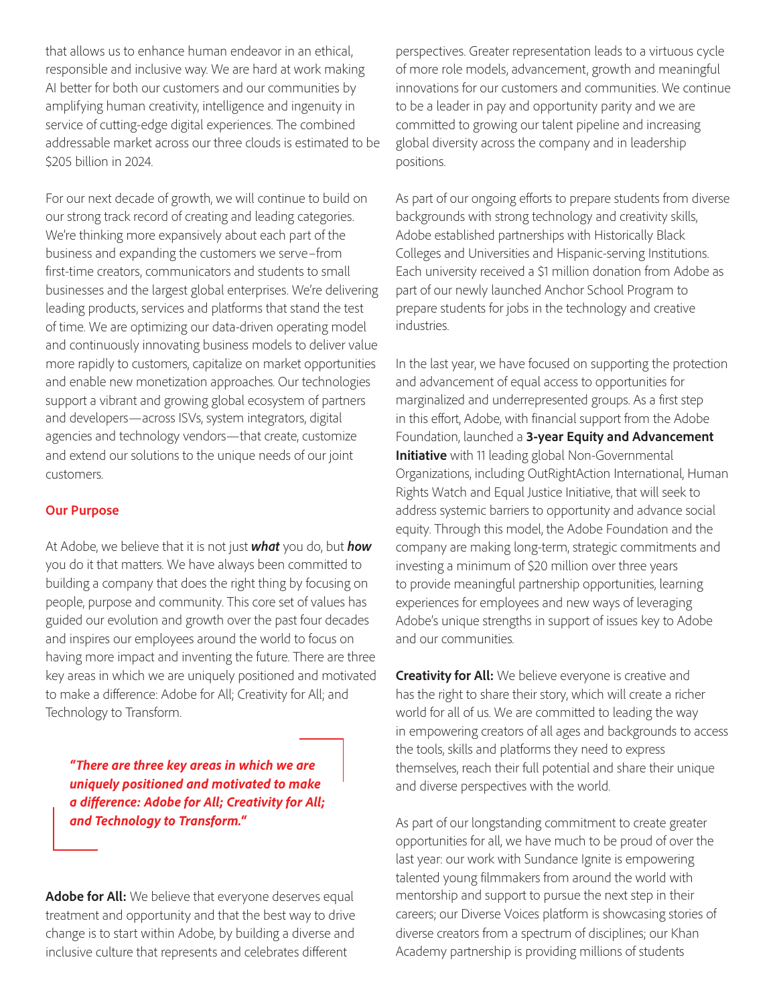that allows us to enhance human endeavor in an ethical, responsible and inclusive way. We are hard at work making AI better for both our customers and our communities by amplifying human creativity, intelligence and ingenuity in service of cutting-edge digital experiences. The combined addressable market across our three clouds is estimated to be \$205 billion in 2024.

For our next decade of growth, we will continue to build on our strong track record of creating and leading categories. We're thinking more expansively about each part of the business and expanding the customers we serve–from first-time creators, communicators and students to small businesses and the largest global enterprises. We're delivering leading products, services and platforms that stand the test of time. We are optimizing our data-driven operating model and continuously innovating business models to deliver value more rapidly to customers, capitalize on market opportunities and enable new monetization approaches. Our technologies support a vibrant and growing global ecosystem of partners and developers—across ISVs, system integrators, digital agencies and technology vendors—that create, customize and extend our solutions to the unique needs of our joint customers.

## **Our Purpose**

At Adobe, we believe that it is not just *what* you do, but *how* you do it that matters. We have always been committed to building a company that does the right thing by focusing on people, purpose and community. This core set of values has guided our evolution and growth over the past four decades and inspires our employees around the world to focus on having more impact and inventing the future. There are three key areas in which we are uniquely positioned and motivated to make a difference: Adobe for All; Creativity for All; and Technology to Transform.

*"There are three key areas in which we are uniquely positioned and motivated to make a difference: Adobe for All; Creativity for All; and Technology to Transform."*

Adobe for All: We believe that everyone deserves equal treatment and opportunity and that the best way to drive change is to start within Adobe, by building a diverse and inclusive culture that represents and celebrates different

perspectives. Greater representation leads to a virtuous cycle of more role models, advancement, growth and meaningful innovations for our customers and communities. We continue to be a leader in pay and opportunity parity and we are committed to growing our talent pipeline and increasing global diversity across the company and in leadership positions.

As part of our ongoing efforts to prepare students from diverse backgrounds with strong technology and creativity skills, Adobe established partnerships with Historically Black Colleges and Universities and Hispanic-serving Institutions. Each university received a \$1 million donation from Adobe as part of our newly launched Anchor School Program to prepare students for jobs in the technology and creative industries.

In the last year, we have focused on supporting the protection and advancement of equal access to opportunities for marginalized and underrepresented groups. As a first step in this effort, Adobe, with financial support from the Adobe Foundation, launched a **3-year Equity and Advancement Initiative** with 11 leading global Non-Governmental Organizations, including OutRightAction International, Human Rights Watch and Equal Justice Initiative, that will seek to address systemic barriers to opportunity and advance social equity. Through this model, the Adobe Foundation and the company are making long-term, strategic commitments and investing a minimum of \$20 million over three years to provide meaningful partnership opportunities, learning experiences for employees and new ways of leveraging Adobe's unique strengths in support of issues key to Adobe and our communities.

**Creativity for All:** We believe everyone is creative and has the right to share their story, which will create a richer world for all of us. We are committed to leading the way in empowering creators of all ages and backgrounds to access the tools, skills and platforms they need to express themselves, reach their full potential and share their unique and diverse perspectives with the world.

As part of our longstanding commitment to create greater opportunities for all, we have much to be proud of over the last year: our work with Sundance Ignite is empowering talented young filmmakers from around the world with mentorship and support to pursue the next step in their careers; our Diverse Voices platform is showcasing stories of diverse creators from a spectrum of disciplines; our Khan Academy partnership is providing millions of students